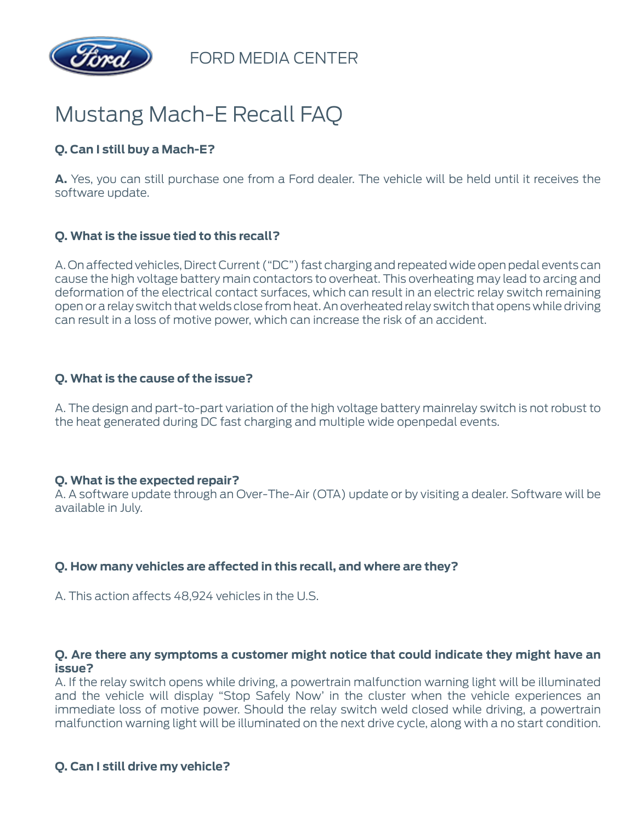

FORD MEDIA CENTER

# Mustang Mach-E Recall FAQ

## **Q. Can I still buy a Mach-E?**

**A.** Yes, you can still purchase one from a Ford dealer. The vehicle will be held until it receives the software update.

## **Q. What is the issue tied to this recall?**

A. On affected vehicles, Direct Current ("DC") fast charging and repeated wide open pedal events can cause the high voltage battery main contactors to overheat. This overheating may lead to arcing and deformation of the electrical contact surfaces, which can result in an electric relay switch remaining open or a relay switch that welds close from heat. An overheated relay switch that opens while driving can result in a loss of motive power, which can increase the risk of an accident.

#### **Q. What is the cause of the issue?**

A. The design and part-to-part variation of the high voltage battery mainrelay switch is not robust to the heat generated during DC fast charging and multiple wide openpedal events.

#### **Q. What is the expected repair?**

A. A software update through an Over-The-Air (OTA) update or by visiting a dealer. Software will be available in July.

#### **Q. How many vehicles are affected in this recall, and where are they?**

A. This action affects 48,924 vehicles in the U.S.

#### **Q. Are there any symptoms a customer might notice that could indicate they might have an issue?**

A. If the relay switch opens while driving, a powertrain malfunction warning light will be illuminated and the vehicle will display "Stop Safely Now' in the cluster when the vehicle experiences an immediate loss of motive power. Should the relay switch weld closed while driving, a powertrain malfunction warning light will be illuminated on the next drive cycle, along with a no start condition.

## **Q. Can I still drive my vehicle?**